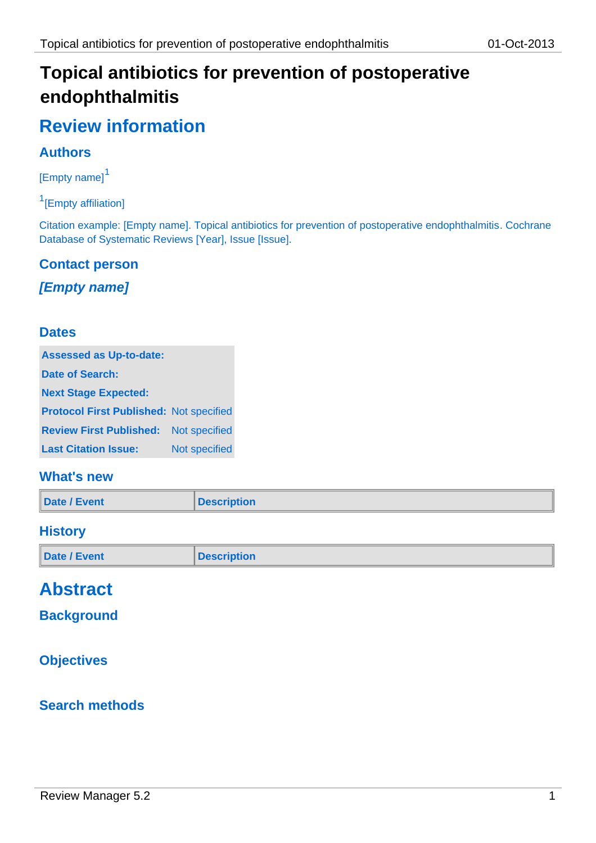# **Topical antibiotics for prevention of postoperative endophthalmitis**

# **Review information**

# **Authors**

[Empty name]<sup>1</sup>

<sup>1</sup>[Empty affiliation]

Citation example: [Empty name]. Topical antibiotics for prevention of postoperative endophthalmitis. Cochrane Database of Systematic Reviews [Year], Issue [Issue].

#### **Contact person**

## *[Empty name]*

#### **Dates**

| <b>Assessed as Up-to-date:</b>                 |               |  |  |
|------------------------------------------------|---------------|--|--|
| Date of Search:                                |               |  |  |
| <b>Next Stage Expected:</b>                    |               |  |  |
| <b>Protocol First Published: Not specified</b> |               |  |  |
| <b>Review First Published:</b> Not specified   |               |  |  |
| <b>Last Citation Issue:</b>                    | Not specified |  |  |

## **What's new**

| Date / Event | <b>Description</b> |
|--------------|--------------------|
|--------------|--------------------|

#### **History**

| Date / Event<br><b>Description</b> |  |
|------------------------------------|--|
|------------------------------------|--|

# **Abstract**

## **Background**

# **Objectives**

#### **Search methods**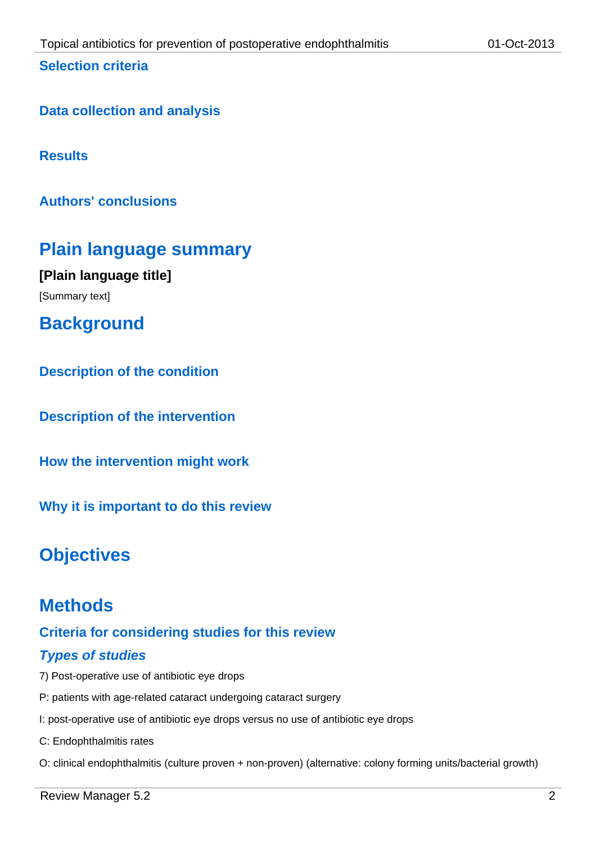#### **Selection criteria**

**Results**

**Authors' conclusions**

# **Plain language summary**

**[Plain language title]** [Summary text]

**Background**

**Description of the condition**

**Description of the intervention**

**How the intervention might work**

**Why it is important to do this review**

# **Objectives**

# **Methods**

# **Criteria for considering studies for this review**

# *Types of studies*

- 7) Post-operative use of antibiotic eye drops
- P: patients with age-related cataract undergoing cataract surgery
- I: post-operative use of antibiotic eye drops versus no use of antibiotic eye drops

C: Endophthalmitis rates

O: clinical endophthalmitis (culture proven + non-proven) (alternative: colony forming units/bacterial growth)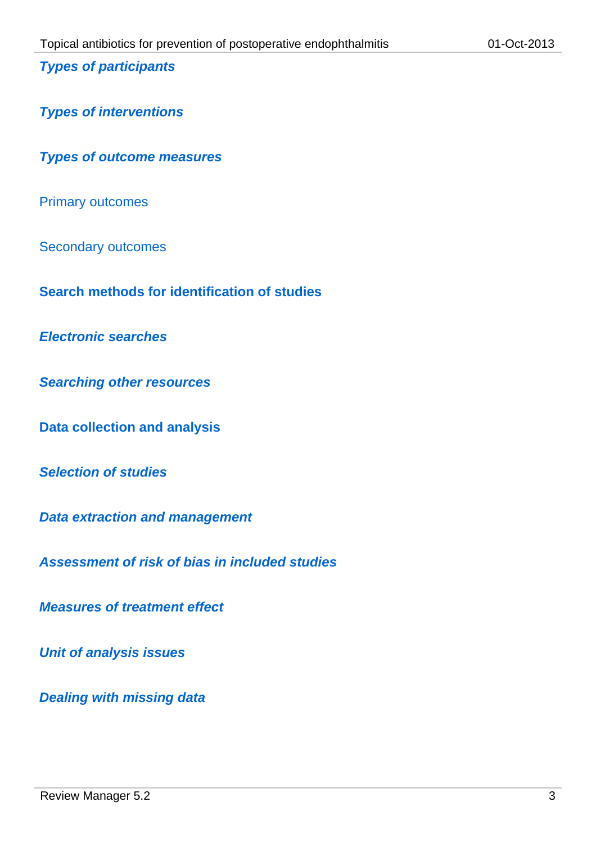#### *Types of participants*

*Types of interventions*

*Types of outcome measures*

Primary outcomes

Secondary outcomes

**Search methods for identification of studies**

*Electronic searches*

*Searching other resources*

**Data collection and analysis**

*Selection of studies*

*Data extraction and management*

*Assessment of risk of bias in included studies*

*Measures of treatment effect*

*Unit of analysis issues*

*Dealing with missing data*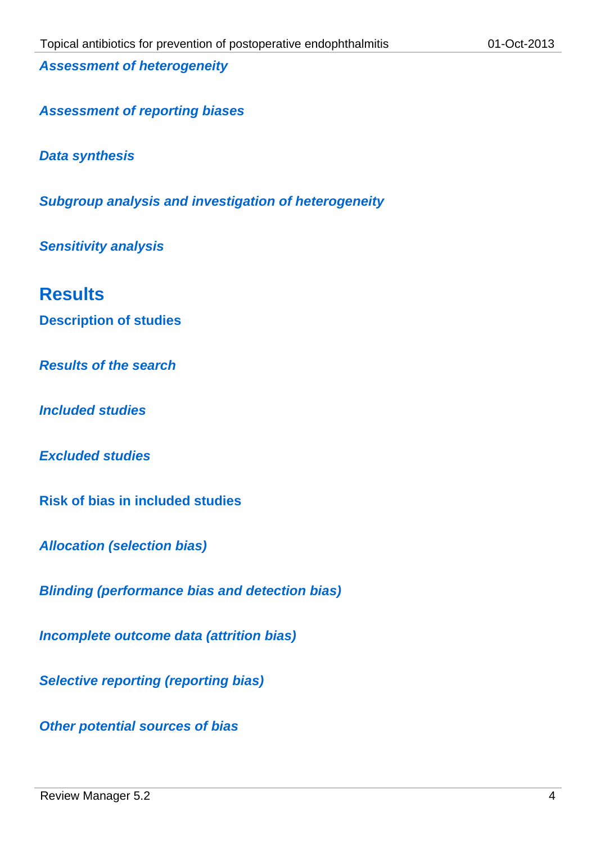*Assessment of heterogeneity*

*Assessment of reporting biases*

*Data synthesis*

*Subgroup analysis and investigation of heterogeneity*

*Sensitivity analysis*

# **Results**

**Description of studies**

*Results of the search*

*Included studies*

*Excluded studies*

**Risk of bias in included studies**

*Allocation (selection bias)*

*Blinding (performance bias and detection bias)*

*Incomplete outcome data (attrition bias)*

*Selective reporting (reporting bias)*

*Other potential sources of bias*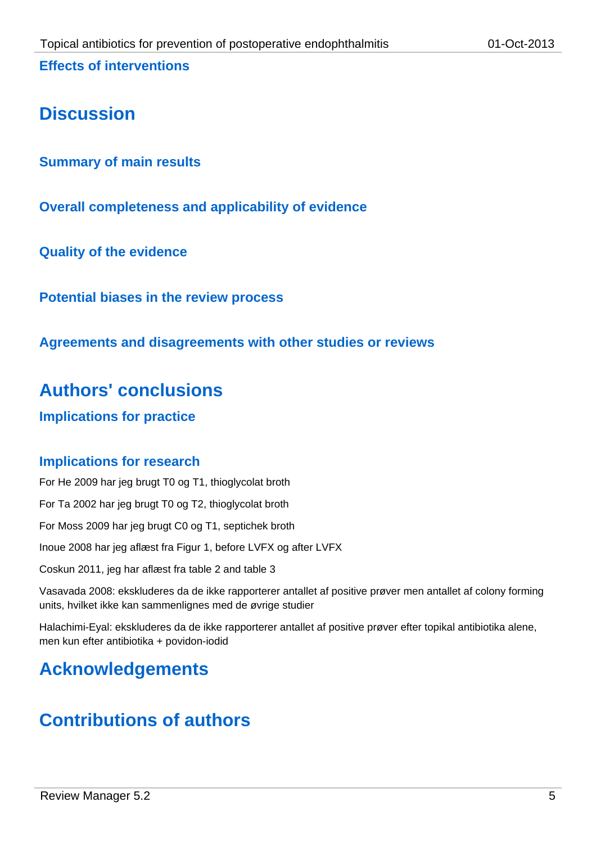# **Discussion**

**Summary of main results**

**Overall completeness and applicability of evidence**

**Quality of the evidence**

**Potential biases in the review process**

**Agreements and disagreements with other studies or reviews**

# **Authors' conclusions**

**Implications for practice**

# **Implications for research**

For He 2009 har jeg brugt T0 og T1, thioglycolat broth For Ta 2002 har jeg brugt T0 og T2, thioglycolat broth For Moss 2009 har jeg brugt C0 og T1, septichek broth Inoue 2008 har jeg aflæst fra Figur 1, before LVFX og after LVFX Coskun 2011, jeg har aflæst fra table 2 and table 3

Vasavada 2008: ekskluderes da de ikke rapporterer antallet af positive prøver men antallet af colony forming units, hvilket ikke kan sammenlignes med de øvrige studier

Halachimi-Eyal: ekskluderes da de ikke rapporterer antallet af positive prøver efter topikal antibiotika alene, men kun efter antibiotika + povidon-iodid

# **Acknowledgements**

# **Contributions of authors**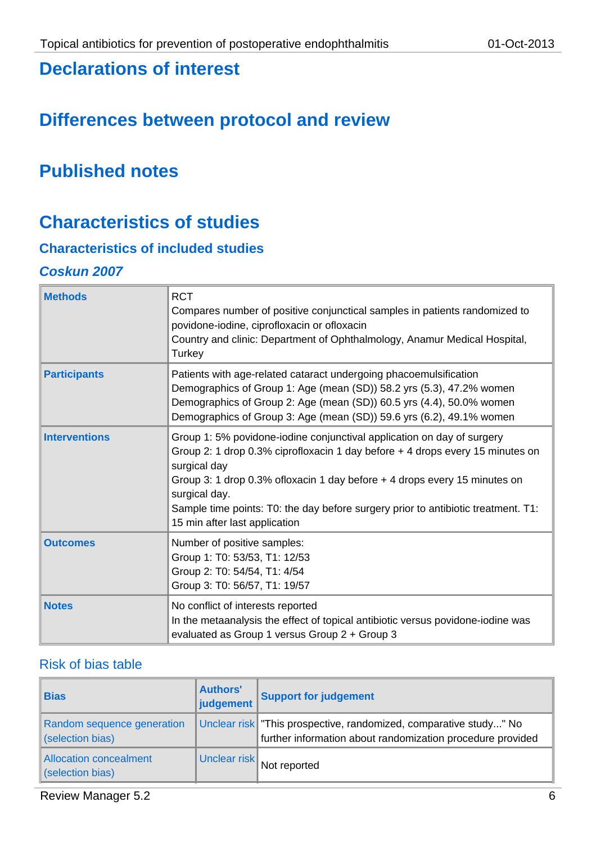# **Declarations of interest**

# **Differences between protocol and review**

# **Published notes**

# **Characteristics of studies**

# **Characteristics of included studies**

#### *Coskun 2007*

| <b>Methods</b>       | <b>RCT</b><br>Compares number of positive conjunctical samples in patients randomized to<br>povidone-iodine, ciprofloxacin or ofloxacin<br>Country and clinic: Department of Ophthalmology, Anamur Medical Hospital,<br>Turkey                                                                                                                                                               |
|----------------------|----------------------------------------------------------------------------------------------------------------------------------------------------------------------------------------------------------------------------------------------------------------------------------------------------------------------------------------------------------------------------------------------|
| <b>Participants</b>  | Patients with age-related cataract undergoing phacoemulsification<br>Demographics of Group 1: Age (mean (SD)) 58.2 yrs (5.3), 47.2% women<br>Demographics of Group 2: Age (mean (SD)) 60.5 yrs (4.4), 50.0% women<br>Demographics of Group 3: Age (mean (SD)) 59.6 yrs (6.2), 49.1% women                                                                                                    |
| <b>Interventions</b> | Group 1: 5% povidone-iodine conjunctival application on day of surgery<br>Group 2: 1 drop 0.3% ciprofloxacin 1 day before + 4 drops every 15 minutes on<br>surgical day<br>Group 3: 1 drop 0.3% of loxacin 1 day before + 4 drops every 15 minutes on<br>surgical day.<br>Sample time points: T0: the day before surgery prior to antibiotic treatment. T1:<br>15 min after last application |
| <b>Outcomes</b>      | Number of positive samples:<br>Group 1: T0: 53/53, T1: 12/53<br>Group 2: T0: 54/54, T1: 4/54<br>Group 3: T0: 56/57, T1: 19/57                                                                                                                                                                                                                                                                |
| <b>Notes</b>         | No conflict of interests reported<br>In the metaanalysis the effect of topical antibiotic versus povidone-iodine was<br>evaluated as Group 1 versus Group 2 + Group 3                                                                                                                                                                                                                        |

| <b>Bias</b>                                    | <b>Authors'</b><br>judgement | <b>Support for judgement</b>                                                                                                   |
|------------------------------------------------|------------------------------|--------------------------------------------------------------------------------------------------------------------------------|
| Random sequence generation<br>(selection bias) |                              | Unclear risk This prospective, randomized, comparative study" No<br>further information about randomization procedure provided |
| Allocation concealment<br>(selection bias)     | Unclear risk                 | Not reported                                                                                                                   |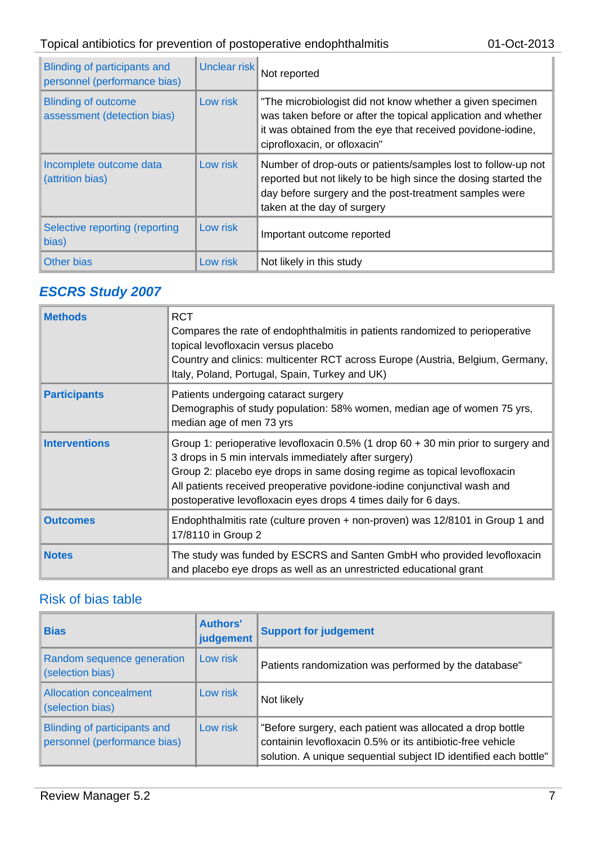# Topical antibiotics for prevention of postoperative endophthalmitis 01-Oct-2013

| Blinding of participants and<br>personnel (performance bias) | Unclear risk | Not reported                                                                                                                                                                                                              |
|--------------------------------------------------------------|--------------|---------------------------------------------------------------------------------------------------------------------------------------------------------------------------------------------------------------------------|
| <b>Blinding of outcome</b><br>assessment (detection bias)    | Low risk     | "The microbiologist did not know whether a given specimen<br>was taken before or after the topical application and whether<br>it was obtained from the eye that received povidone-iodine,<br>ciprofloxacin, or ofloxacin" |
| Incomplete outcome data<br>(attrition bias)                  | Low risk     | Number of drop-outs or patients/samples lost to follow-up not<br>reported but not likely to be high since the dosing started the<br>day before surgery and the post-treatment samples were<br>taken at the day of surgery |
| Selective reporting (reporting<br>bias)                      | Low risk     | Important outcome reported                                                                                                                                                                                                |
| Other bias                                                   | Low risk     | Not likely in this study                                                                                                                                                                                                  |

# *ESCRS Study 2007*

| <b>Methods</b>       | <b>RCT</b><br>Compares the rate of endophthalmitis in patients randomized to perioperative<br>topical levofloxacin versus placebo<br>Country and clinics: multicenter RCT across Europe (Austria, Belgium, Germany,<br>Italy, Poland, Portugal, Spain, Turkey and UK)                                                                                                   |
|----------------------|-------------------------------------------------------------------------------------------------------------------------------------------------------------------------------------------------------------------------------------------------------------------------------------------------------------------------------------------------------------------------|
| <b>Participants</b>  | Patients undergoing cataract surgery<br>Demographis of study population: 58% women, median age of women 75 yrs,<br>median age of men 73 yrs                                                                                                                                                                                                                             |
| <b>Interventions</b> | Group 1: perioperative levofloxacin 0.5% (1 drop $60 + 30$ min prior to surgery and<br>3 drops in 5 min intervals immediately after surgery)<br>Group 2: placebo eye drops in same dosing regime as topical levofloxacin<br>All patients received preoperative povidone-iodine conjunctival wash and<br>postoperative levofloxacin eyes drops 4 times daily for 6 days. |
| <b>Outcomes</b>      | Endophthalmitis rate (culture proven + non-proven) was 12/8101 in Group 1 and<br>17/8110 in Group 2                                                                                                                                                                                                                                                                     |
| <b>Notes</b>         | The study was funded by ESCRS and Santen GmbH who provided levofloxacin<br>and placebo eye drops as well as an unrestricted educational grant                                                                                                                                                                                                                           |

| <b>Bias</b>                                                  | <b>Authors'</b><br>judgement | <b>Support for judgement</b>                                                                                                                                                                |
|--------------------------------------------------------------|------------------------------|---------------------------------------------------------------------------------------------------------------------------------------------------------------------------------------------|
| Random sequence generation<br>(selection bias)               | Low risk                     | Patients randomization was performed by the database"                                                                                                                                       |
| <b>Allocation concealment</b><br>(selection bias)            | Low risk                     | Not likely                                                                                                                                                                                  |
| Blinding of participants and<br>personnel (performance bias) | Low risk                     | "Before surgery, each patient was allocated a drop bottle<br>containin levofloxacin 0.5% or its antibiotic-free vehicle<br>solution. A unique sequential subject ID identified each bottle" |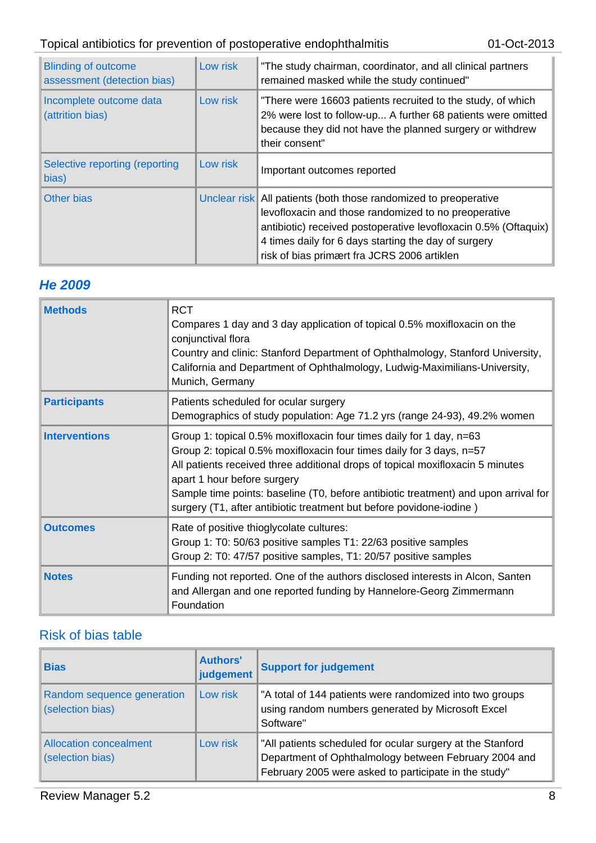# Topical antibiotics for prevention of postoperative endophthalmitis 01-Oct-2013

| <b>Blinding of outcome</b><br>assessment (detection bias) | Low risk | "The study chairman, coordinator, and all clinical partners<br>remained masked while the study continued"                                                                                                                                                                                          |
|-----------------------------------------------------------|----------|----------------------------------------------------------------------------------------------------------------------------------------------------------------------------------------------------------------------------------------------------------------------------------------------------|
| Incomplete outcome data<br>(attrition bias)               | Low risk | "There were 16603 patients recruited to the study, of which<br>2% were lost to follow-up A further 68 patients were omitted<br>because they did not have the planned surgery or withdrew<br>their consent"                                                                                         |
| Selective reporting (reporting<br>bias)                   | Low risk | Important outcomes reported                                                                                                                                                                                                                                                                        |
| Other bias                                                |          | Unclear risk All patients (both those randomized to preoperative<br>levofloxacin and those randomized to no preoperative<br>antibiotic) received postoperative levofloxacin 0.5% (Oftaquix)<br>4 times daily for 6 days starting the day of surgery<br>risk of bias primært fra JCRS 2006 artiklen |

#### *He 2009*

| <b>Methods</b>       | <b>RCT</b><br>Compares 1 day and 3 day application of topical 0.5% moxifloxacin on the<br>conjunctival flora<br>Country and clinic: Stanford Department of Ophthalmology, Stanford University,<br>California and Department of Ophthalmology, Ludwig-Maximilians-University,<br>Munich, Germany                                                                                                                            |
|----------------------|----------------------------------------------------------------------------------------------------------------------------------------------------------------------------------------------------------------------------------------------------------------------------------------------------------------------------------------------------------------------------------------------------------------------------|
| <b>Participants</b>  | Patients scheduled for ocular surgery<br>Demographics of study population: Age 71.2 yrs (range 24-93), 49.2% women                                                                                                                                                                                                                                                                                                         |
| <b>Interventions</b> | Group 1: topical 0.5% moxifloxacin four times daily for 1 day, n=63<br>Group 2: topical 0.5% moxifloxacin four times daily for 3 days, n=57<br>All patients received three additional drops of topical moxifloxacin 5 minutes<br>apart 1 hour before surgery<br>Sample time points: baseline (T0, before antibiotic treatment) and upon arrival for<br>surgery (T1, after antibiotic treatment but before povidone-iodine) |
| <b>Outcomes</b>      | Rate of positive thioglycolate cultures:<br>Group 1: T0: 50/63 positive samples T1: 22/63 positive samples<br>Group 2: T0: 47/57 positive samples, T1: 20/57 positive samples                                                                                                                                                                                                                                              |
| <b>Notes</b>         | Funding not reported. One of the authors disclosed interests in Alcon, Santen<br>and Allergan and one reported funding by Hannelore-Georg Zimmermann<br>Foundation                                                                                                                                                                                                                                                         |

| <b>Bias</b>                                       | <b>Authors'</b><br>judgement | <b>Support for judgement</b>                                                                                                                                                 |
|---------------------------------------------------|------------------------------|------------------------------------------------------------------------------------------------------------------------------------------------------------------------------|
| Random sequence generation<br>(selection bias)    | Low risk                     | "A total of 144 patients were randomized into two groups<br>using random numbers generated by Microsoft Excel<br>Software"                                                   |
| <b>Allocation concealment</b><br>(selection bias) | Low risk                     | "All patients scheduled for ocular surgery at the Stanford<br>Department of Ophthalmology between February 2004 and<br>February 2005 were asked to participate in the study" |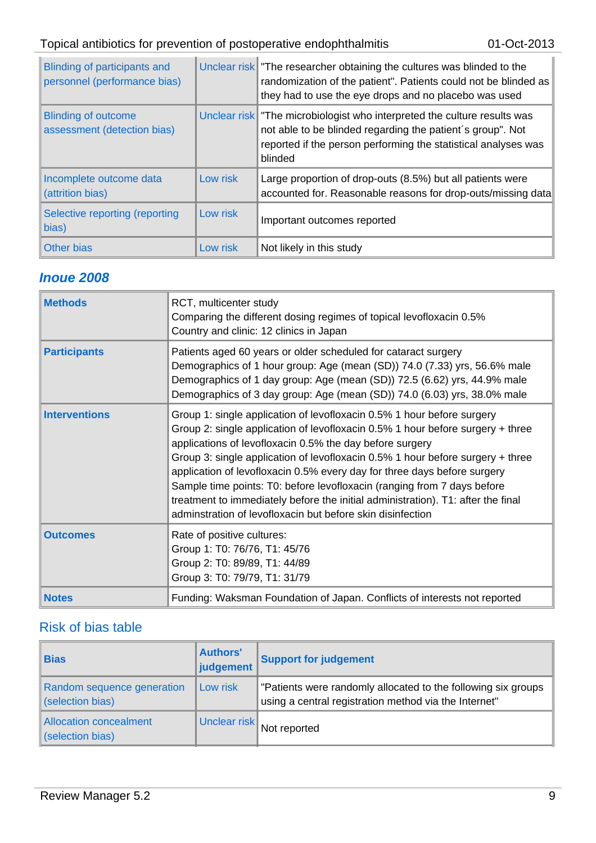| Blinding of participants and<br>personnel (performance bias) |          | Unclear risk The researcher obtaining the cultures was blinded to the<br>randomization of the patient". Patients could not be blinded as<br>they had to use the eye drops and no placebo was used                  |
|--------------------------------------------------------------|----------|--------------------------------------------------------------------------------------------------------------------------------------------------------------------------------------------------------------------|
| <b>Blinding of outcome</b><br>assessment (detection bias)    |          | Unclear risk The microbiologist who interpreted the culture results was<br>not able to be blinded regarding the patient's group". Not<br>reported if the person performing the statistical analyses was<br>blinded |
| Incomplete outcome data<br>(attrition bias)                  | Low risk | Large proportion of drop-outs (8.5%) but all patients were<br>accounted for. Reasonable reasons for drop-outs/missing data                                                                                         |
| Selective reporting (reporting<br>bias)                      | Low risk | Important outcomes reported                                                                                                                                                                                        |
| Other bias                                                   | Low risk | Not likely in this study                                                                                                                                                                                           |

#### *Inoue 2008*

| <b>Methods</b>       | RCT, multicenter study<br>Comparing the different dosing regimes of topical levofloxacin 0.5%<br>Country and clinic: 12 clinics in Japan                                                                                                                                                                                                                                                                                                                                                                                                                                                                        |
|----------------------|-----------------------------------------------------------------------------------------------------------------------------------------------------------------------------------------------------------------------------------------------------------------------------------------------------------------------------------------------------------------------------------------------------------------------------------------------------------------------------------------------------------------------------------------------------------------------------------------------------------------|
| <b>Participants</b>  | Patients aged 60 years or older scheduled for cataract surgery<br>Demographics of 1 hour group: Age (mean (SD)) 74.0 (7.33) yrs, 56.6% male<br>Demographics of 1 day group: Age (mean (SD)) 72.5 (6.62) yrs, 44.9% male<br>Demographics of 3 day group: Age (mean (SD)) 74.0 (6.03) yrs, 38.0% male                                                                                                                                                                                                                                                                                                             |
| <b>Interventions</b> | Group 1: single application of levofloxacin 0.5% 1 hour before surgery<br>Group 2: single application of levofloxacin 0.5% 1 hour before surgery + three<br>applications of levofloxacin 0.5% the day before surgery<br>Group 3: single application of levofloxacin 0.5% 1 hour before surgery + three<br>application of levofloxacin 0.5% every day for three days before surgery<br>Sample time points: T0: before levofloxacin (ranging from 7 days before<br>treatment to immediately before the initial administration). T1: after the final<br>adminstration of levofloxacin but before skin disinfection |
| <b>Outcomes</b>      | Rate of positive cultures:<br>Group 1: T0: 76/76, T1: 45/76<br>Group 2: T0: 89/89, T1: 44/89<br>Group 3: T0: 79/79, T1: 31/79                                                                                                                                                                                                                                                                                                                                                                                                                                                                                   |
| <b>Notes</b>         | Funding: Waksman Foundation of Japan. Conflicts of interests not reported                                                                                                                                                                                                                                                                                                                                                                                                                                                                                                                                       |

| <b>Bias</b>                                    | <b>Authors'</b><br>judgement | <b>Support for judgement</b>                                                                                           |
|------------------------------------------------|------------------------------|------------------------------------------------------------------------------------------------------------------------|
| Random sequence generation<br>(selection bias) | Low risk                     | "Patients were randomly allocated to the following six groups<br>using a central registration method via the Internet" |
| Allocation concealment<br>(selection bias)     | Unclear risk                 | Not reported                                                                                                           |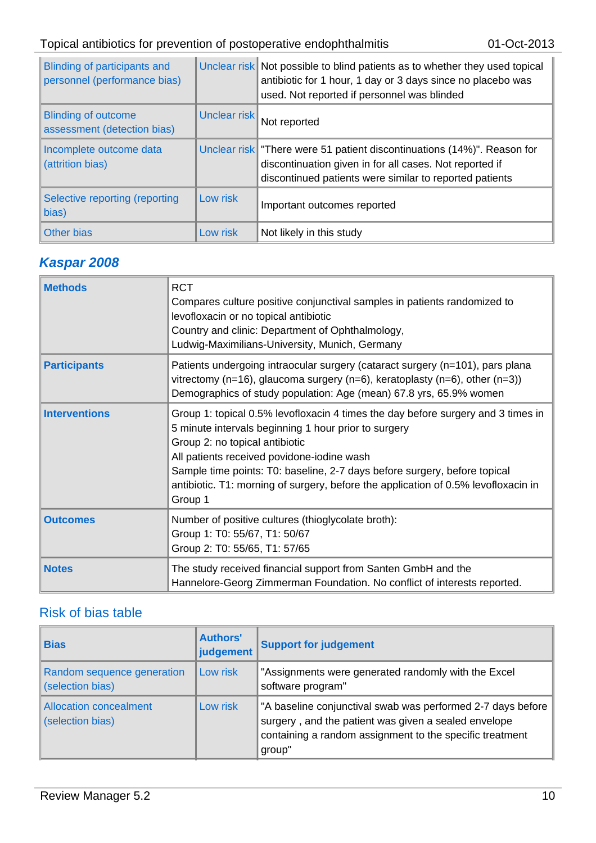| Blinding of participants and<br>personnel (performance bias) |              | Unclear risk Not possible to blind patients as to whether they used topical<br>antibiotic for 1 hour, 1 day or 3 days since no placebo was<br>used. Not reported if personnel was blinded       |
|--------------------------------------------------------------|--------------|-------------------------------------------------------------------------------------------------------------------------------------------------------------------------------------------------|
| <b>Blinding of outcome</b><br>assessment (detection bias)    | Unclear risk | Not reported                                                                                                                                                                                    |
| Incomplete outcome data<br>(attrition bias)                  |              | Unclear risk   "There were 51 patient discontinuations (14%)". Reason for<br>discontinuation given in for all cases. Not reported if<br>discontinued patients were similar to reported patients |
| Selective reporting (reporting<br>bias)                      | Low risk     | Important outcomes reported                                                                                                                                                                     |
| <b>Other bias</b>                                            | Low risk     | Not likely in this study                                                                                                                                                                        |

# *Kaspar 2008*

| <b>Methods</b>       | <b>RCT</b><br>Compares culture positive conjunctival samples in patients randomized to<br>levofloxacin or no topical antibiotic<br>Country and clinic: Department of Ophthalmology,<br>Ludwig-Maximilians-University, Munich, Germany                                                                                                                                                                  |
|----------------------|--------------------------------------------------------------------------------------------------------------------------------------------------------------------------------------------------------------------------------------------------------------------------------------------------------------------------------------------------------------------------------------------------------|
| <b>Participants</b>  | Patients undergoing intraocular surgery (cataract surgery (n=101), pars plana<br>vitrectomy (n=16), glaucoma surgery (n=6), keratoplasty (n=6), other (n=3))<br>Demographics of study population: Age (mean) 67.8 yrs, 65.9% women                                                                                                                                                                     |
| <b>Interventions</b> | Group 1: topical 0.5% levofloxacin 4 times the day before surgery and 3 times in<br>5 minute intervals beginning 1 hour prior to surgery<br>Group 2: no topical antibiotic<br>All patients received povidone-iodine wash<br>Sample time points: T0: baseline, 2-7 days before surgery, before topical<br>antibiotic. T1: morning of surgery, before the application of 0.5% levofloxacin in<br>Group 1 |
| <b>Outcomes</b>      | Number of positive cultures (thioglycolate broth):<br>Group 1: T0: 55/67, T1: 50/67<br>Group 2: T0: 55/65, T1: 57/65                                                                                                                                                                                                                                                                                   |
| <b>Notes</b>         | The study received financial support from Santen GmbH and the<br>Hannelore-Georg Zimmerman Foundation. No conflict of interests reported.                                                                                                                                                                                                                                                              |

| <b>Bias</b>                                       | <b>Authors'</b><br>judgement | <b>Support for judgement</b>                                                                                                                                                              |
|---------------------------------------------------|------------------------------|-------------------------------------------------------------------------------------------------------------------------------------------------------------------------------------------|
| Random sequence generation<br>(selection bias)    | Low risk                     | "Assignments were generated randomly with the Excel<br>software program"                                                                                                                  |
| <b>Allocation concealment</b><br>(selection bias) | Low risk                     | "A baseline conjunctival swab was performed 2-7 days before<br>surgery, and the patient was given a sealed envelope<br>containing a random assignment to the specific treatment<br>group" |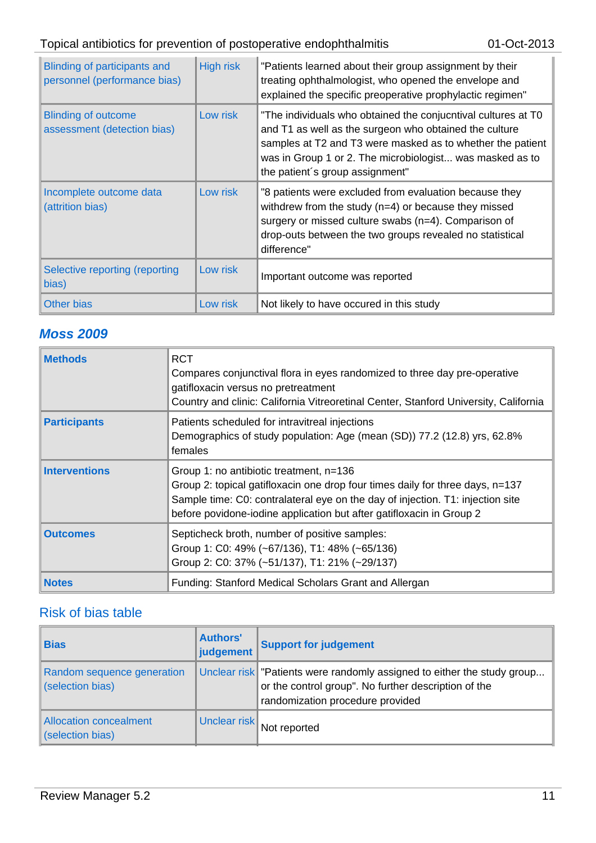| Blinding of participants and<br>personnel (performance bias) | <b>High risk</b> | "Patients learned about their group assignment by their<br>treating ophthalmologist, who opened the envelope and<br>explained the specific preoperative prophylactic regimen"                                                                                                        |
|--------------------------------------------------------------|------------------|--------------------------------------------------------------------------------------------------------------------------------------------------------------------------------------------------------------------------------------------------------------------------------------|
| <b>Blinding of outcome</b><br>assessment (detection bias)    | Low risk         | "The individuals who obtained the conjucntival cultures at T0<br>and T1 as well as the surgeon who obtained the culture<br>samples at T2 and T3 were masked as to whether the patient<br>was in Group 1 or 2. The microbiologist was masked as to<br>the patient's group assignment" |
| Incomplete outcome data<br>(attrition bias)                  | Low risk         | "8 patients were excluded from evaluation because they<br>withdrew from the study $(n=4)$ or because they missed<br>surgery or missed culture swabs (n=4). Comparison of<br>drop-outs between the two groups revealed no statistical<br>difference"                                  |
| Selective reporting (reporting<br>bias)                      | Low risk         | Important outcome was reported                                                                                                                                                                                                                                                       |
| <b>Other bias</b>                                            | Low risk         | Not likely to have occured in this study                                                                                                                                                                                                                                             |

# *Moss 2009*

| <b>Methods</b>       | <b>RCT</b><br>Compares conjunctival flora in eyes randomized to three day pre-operative<br>gatifloxacin versus no pretreatment<br>Country and clinic: California Vitreoretinal Center, Stanford University, California                                                             |
|----------------------|------------------------------------------------------------------------------------------------------------------------------------------------------------------------------------------------------------------------------------------------------------------------------------|
| <b>Participants</b>  | Patients scheduled for intravitreal injections<br>Demographics of study population: Age (mean (SD)) 77.2 (12.8) yrs, 62.8%<br>females                                                                                                                                              |
| <b>Interventions</b> | Group 1: no antibiotic treatment, n=136<br>Group 2: topical gatifloxacin one drop four times daily for three days, n=137<br>Sample time: C0: contralateral eye on the day of injection. T1: injection site<br>before povidone-iodine application but after gatifloxacin in Group 2 |
| <b>Outcomes</b>      | Septicheck broth, number of positive samples:<br>Group 1: C0: 49% (~67/136), T1: 48% (~65/136)<br>Group 2: C0: 37% (~51/137), T1: 21% (~29/137)                                                                                                                                    |
| <b>Notes</b>         | Funding: Stanford Medical Scholars Grant and Allergan                                                                                                                                                                                                                              |

| <b>Bias</b>                                    | <b>Authors'</b><br>judgement | <b>Support for judgement</b>                                                                                                                                          |
|------------------------------------------------|------------------------------|-----------------------------------------------------------------------------------------------------------------------------------------------------------------------|
| Random sequence generation<br>(selection bias) |                              | Unclear risk   "Patients were randomly assigned to either the study group<br>or the control group". No further description of the<br>randomization procedure provided |
| Allocation concealment<br>(selection bias)     | Unclear risk                 | Not reported                                                                                                                                                          |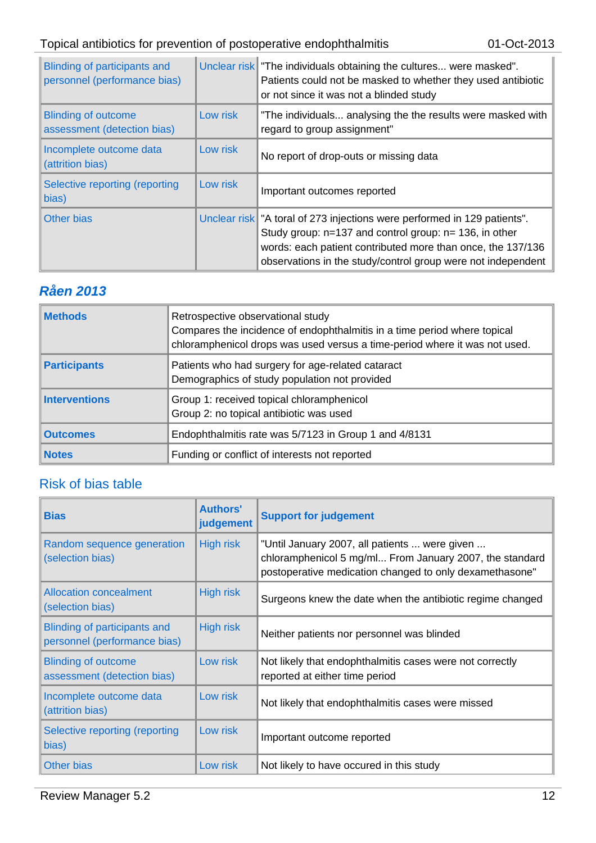# Topical antibiotics for prevention of postoperative endophthalmitis 01-Oct-2013

| Blinding of participants and<br>personnel (performance bias) |          | Unclear risk The individuals obtaining the cultures were masked".<br>Patients could not be masked to whether they used antibiotic<br>or not since it was not a blinded study                                                                                            |
|--------------------------------------------------------------|----------|-------------------------------------------------------------------------------------------------------------------------------------------------------------------------------------------------------------------------------------------------------------------------|
| <b>Blinding of outcome</b><br>assessment (detection bias)    | Low risk | "The individuals analysing the the results were masked with<br>regard to group assignment"                                                                                                                                                                              |
| Incomplete outcome data<br>(attrition bias)                  | Low risk | No report of drop-outs or missing data                                                                                                                                                                                                                                  |
| Selective reporting (reporting<br>bias)                      | Low risk | Important outcomes reported                                                                                                                                                                                                                                             |
| Other bias                                                   |          | Unclear risk   "A toral of 273 injections were performed in 129 patients".<br>Study group: $n=137$ and control group: $n=136$ , in other<br>words: each patient contributed more than once, the 137/136<br>observations in the study/control group were not independent |

# *Råen 2013*

| <b>Methods</b>       | Retrospective observational study<br>Compares the incidence of endophthalmitis in a time period where topical<br>chloramphenicol drops was used versus a time-period where it was not used. |
|----------------------|---------------------------------------------------------------------------------------------------------------------------------------------------------------------------------------------|
| <b>Participants</b>  | Patients who had surgery for age-related cataract<br>Demographics of study population not provided                                                                                          |
| <b>Interventions</b> | Group 1: received topical chloramphenicol<br>Group 2: no topical antibiotic was used                                                                                                        |
| <b>Outcomes</b>      | Endophthalmitis rate was 5/7123 in Group 1 and 4/8131                                                                                                                                       |
| <b>Notes</b>         | Funding or conflict of interests not reported                                                                                                                                               |

| <b>Bias</b>                                                         | <b>Authors'</b><br>judgement | <b>Support for judgement</b>                                                                                                                                        |
|---------------------------------------------------------------------|------------------------------|---------------------------------------------------------------------------------------------------------------------------------------------------------------------|
| Random sequence generation<br>(selection bias)                      | <b>High risk</b>             | "Until January 2007, all patients  were given<br>chloramphenicol 5 mg/ml From January 2007, the standard<br>postoperative medication changed to only dexamethasone" |
| <b>Allocation concealment</b><br>(selection bias)                   | <b>High risk</b>             | Surgeons knew the date when the antibiotic regime changed                                                                                                           |
| <b>Blinding of participants and</b><br>personnel (performance bias) | <b>High risk</b>             | Neither patients nor personnel was blinded                                                                                                                          |
| <b>Blinding of outcome</b><br>assessment (detection bias)           | Low risk                     | Not likely that endophthalmitis cases were not correctly<br>reported at either time period                                                                          |
| Incomplete outcome data<br>(attrition bias)                         | Low risk                     | Not likely that endophthalmitis cases were missed                                                                                                                   |
| Selective reporting (reporting<br>bias)                             | Low risk                     | Important outcome reported                                                                                                                                          |
| <b>Other bias</b>                                                   | Low risk                     | Not likely to have occured in this study                                                                                                                            |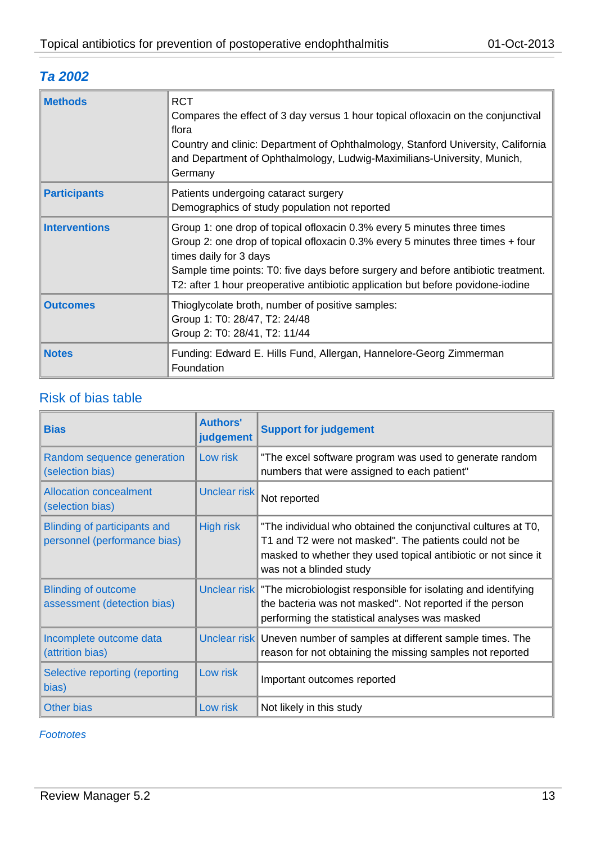# *Ta 2002*

| <b>Methods</b>       | <b>RCT</b><br>Compares the effect of 3 day versus 1 hour topical of loxacin on the conjunctival<br>flora<br>Country and clinic: Department of Ophthalmology, Stanford University, California<br>and Department of Ophthalmology, Ludwig-Maximilians-University, Munich,<br>Germany                                                                            |
|----------------------|---------------------------------------------------------------------------------------------------------------------------------------------------------------------------------------------------------------------------------------------------------------------------------------------------------------------------------------------------------------|
| <b>Participants</b>  | Patients undergoing cataract surgery<br>Demographics of study population not reported                                                                                                                                                                                                                                                                         |
| <b>Interventions</b> | Group 1: one drop of topical of loxacin 0.3% every 5 minutes three times<br>Group 2: one drop of topical of loxacin 0.3% every 5 minutes three times + four<br>times daily for 3 days<br>Sample time points: T0: five days before surgery and before antibiotic treatment.<br>T2: after 1 hour preoperative antibiotic application but before povidone-iodine |
| <b>Outcomes</b>      | Thioglycolate broth, number of positive samples:<br>Group 1: T0: 28/47, T2: 24/48<br>Group 2: T0: 28/41, T2: 11/44                                                                                                                                                                                                                                            |
| <b>Notes</b>         | Funding: Edward E. Hills Fund, Allergan, Hannelore-Georg Zimmerman<br>Foundation                                                                                                                                                                                                                                                                              |

# Risk of bias table

| <b>Bias</b>                                                         | <b>Authors'</b><br>judgement | <b>Support for judgement</b>                                                                                                                                                                                        |
|---------------------------------------------------------------------|------------------------------|---------------------------------------------------------------------------------------------------------------------------------------------------------------------------------------------------------------------|
| Random sequence generation<br>(selection bias)                      | Low risk                     | "The excel software program was used to generate random<br>numbers that were assigned to each patient"                                                                                                              |
| <b>Allocation concealment</b><br>(selection bias)                   | Unclear risk                 | Not reported                                                                                                                                                                                                        |
| <b>Blinding of participants and</b><br>personnel (performance bias) | <b>High risk</b>             | "The individual who obtained the conjunctival cultures at T0,<br>T1 and T2 were not masked". The patients could not be<br>masked to whether they used topical antibiotic or not since it<br>was not a blinded study |
| <b>Blinding of outcome</b><br>assessment (detection bias)           |                              | Unclear risk The microbiologist responsible for isolating and identifying<br>the bacteria was not masked". Not reported if the person<br>performing the statistical analyses was masked                             |
| Incomplete outcome data<br>(attrition bias)                         |                              | Unclear risk Uneven number of samples at different sample times. The<br>reason for not obtaining the missing samples not reported                                                                                   |
| Selective reporting (reporting<br>bias)                             | Low risk                     | Important outcomes reported                                                                                                                                                                                         |
| <b>Other bias</b>                                                   | Low risk                     | Not likely in this study                                                                                                                                                                                            |

#### *Footnotes*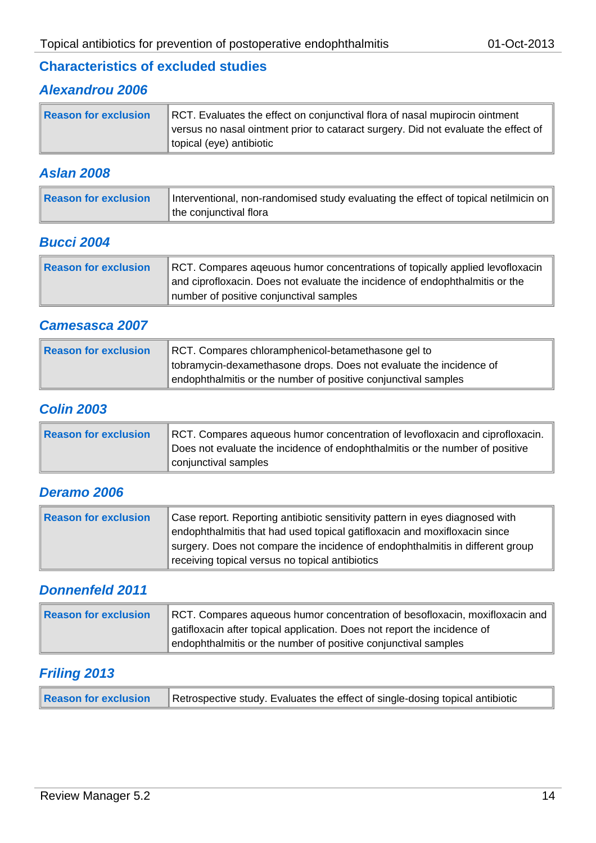## **Characteristics of excluded studies**

# *Alexandrou 2006*

| <b>Reason for exclusion</b> | RCT. Evaluates the effect on conjunctival flora of nasal mupirocin ointment        |
|-----------------------------|------------------------------------------------------------------------------------|
|                             | versus no nasal ointment prior to cataract surgery. Did not evaluate the effect of |
|                             | topical (eye) antibiotic                                                           |

#### *Aslan 2008*

| Reason for exclusion | Interventional, non-randomised study evaluating the effect of topical netilmicin on |
|----------------------|-------------------------------------------------------------------------------------|
|                      | the conjunctival flora                                                              |

#### *Bucci 2004*

| Reason for exclusion | RCT. Compares ageuous humor concentrations of topically applied levofloxacin<br>and ciprofloxacin. Does not evaluate the incidence of endophthalmitis or the |
|----------------------|--------------------------------------------------------------------------------------------------------------------------------------------------------------|
|                      | number of positive conjunctival samples                                                                                                                      |

#### *Camesasca 2007*

| Reason for exclusion | RCT. Compares chloramphenicol-betamethasone gel to                 |
|----------------------|--------------------------------------------------------------------|
|                      | tobramycin-dexamethasone drops. Does not evaluate the incidence of |
|                      | endophthalmitis or the number of positive conjunctival samples     |

#### *Colin 2003*

| Reason for exclusion | RCT. Compares aqueous humor concentration of levofloxacin and ciprofloxacin. |
|----------------------|------------------------------------------------------------------------------|
|                      | Does not evaluate the incidence of endophthalmitis or the number of positive |
|                      | conjunctival samples                                                         |

### *Deramo 2006*

| Reason for exclusion | Case report. Reporting antibiotic sensitivity pattern in eyes diagnosed with  |
|----------------------|-------------------------------------------------------------------------------|
|                      | endophthalmitis that had used topical gatifloxacin and moxifloxacin since     |
|                      | surgery. Does not compare the incidence of endophthalmitis in different group |
|                      | receiving topical versus no topical antibiotics                               |

#### *Donnenfeld 2011*

| Reason for exclusion | RCT. Compares aqueous humor concentration of besofloxacin, moxifloxacin and |
|----------------------|-----------------------------------------------------------------------------|
|                      | gatifloxacin after topical application. Does not report the incidence of    |
|                      | endophthalmitis or the number of positive conjunctival samples              |

#### *Friling 2013*

| <b>Reason for exclusion</b><br>Retrospective study. Evaluates the effect of single-dosing topical antibiotic |
|--------------------------------------------------------------------------------------------------------------|
|--------------------------------------------------------------------------------------------------------------|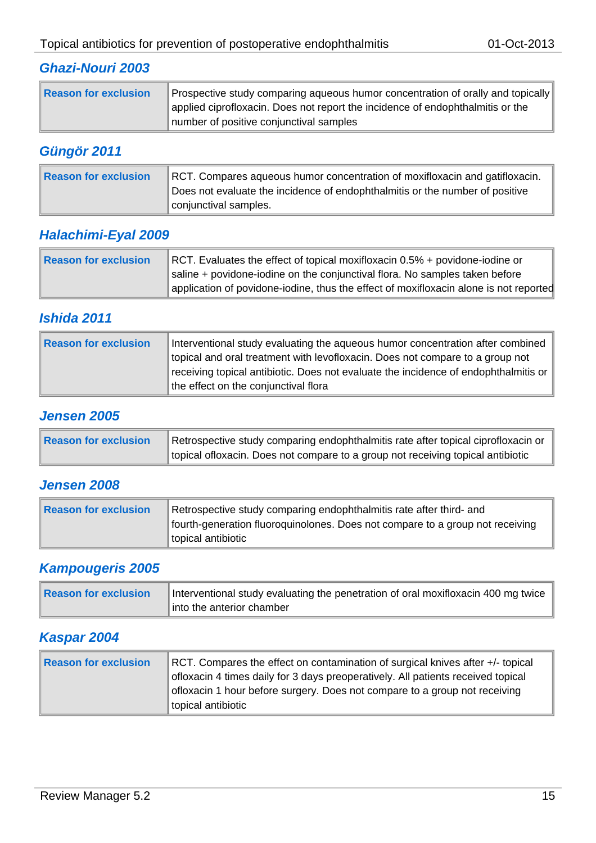## *Ghazi-Nouri 2003*

| Reason for exclusion | Prospective study comparing aqueous humor concentration of orally and topically<br>applied ciprofloxacin. Does not report the incidence of endophthalmitis or the |
|----------------------|-------------------------------------------------------------------------------------------------------------------------------------------------------------------|
|                      | number of positive conjunctival samples                                                                                                                           |

# *Güngör 2011*

| <b>Reason for exclusion</b> | RCT. Compares aqueous humor concentration of moxifloxacin and gatifloxacin.<br>Does not evaluate the incidence of endophthalmitis or the number of positive |
|-----------------------------|-------------------------------------------------------------------------------------------------------------------------------------------------------------|
|                             | conjunctival samples.                                                                                                                                       |

## *Halachimi-Eyal 2009*

| Reason for exclusion | RCT. Evaluates the effect of topical moxifloxacin 0.5% + povidone-iodine or           |
|----------------------|---------------------------------------------------------------------------------------|
|                      | saline + povidone-iodine on the conjunctival flora. No samples taken before           |
|                      | application of povidone-iodine, thus the effect of moxifloxacin alone is not reported |

# *Ishida 2011*

| Reason for exclusion | Interventional study evaluating the aqueous humor concentration after combined<br>topical and oral treatment with levofloxacin. Does not compare to a group not |
|----------------------|-----------------------------------------------------------------------------------------------------------------------------------------------------------------|
|                      | receiving topical antibiotic. Does not evaluate the incidence of endophthalmitis or<br>the effect on the conjunctival flora                                     |

# *Jensen 2005*

| Reason for exclusion | Retrospective study comparing endophthalmitis rate after topical ciprofloxacin or |
|----------------------|-----------------------------------------------------------------------------------|
|                      | topical of loxacin. Does not compare to a group not receiving topical antibiotic  |

## *Jensen 2008*

| Reason for exclusion | Retrospective study comparing endophthalmitis rate after third- and                                 |
|----------------------|-----------------------------------------------------------------------------------------------------|
|                      | fourth-generation fluoroquinolones. Does not compare to a group not receiving<br>topical antibiotic |

## *Kampougeris 2005*

| Reason for exclusion | Interventional study evaluating the penetration of oral moxifloxacin 400 mg twice |
|----------------------|-----------------------------------------------------------------------------------|
|                      | into the anterior chamber                                                         |

# *Kaspar 2004*

| Reason for exclusion | RCT. Compares the effect on contamination of surgical knives after +/- topical<br>ofloxacin 4 times daily for 3 days preoperatively. All patients received topical |
|----------------------|--------------------------------------------------------------------------------------------------------------------------------------------------------------------|
|                      | ofloxacin 1 hour before surgery. Does not compare to a group not receiving<br>topical antibiotic                                                                   |
|                      |                                                                                                                                                                    |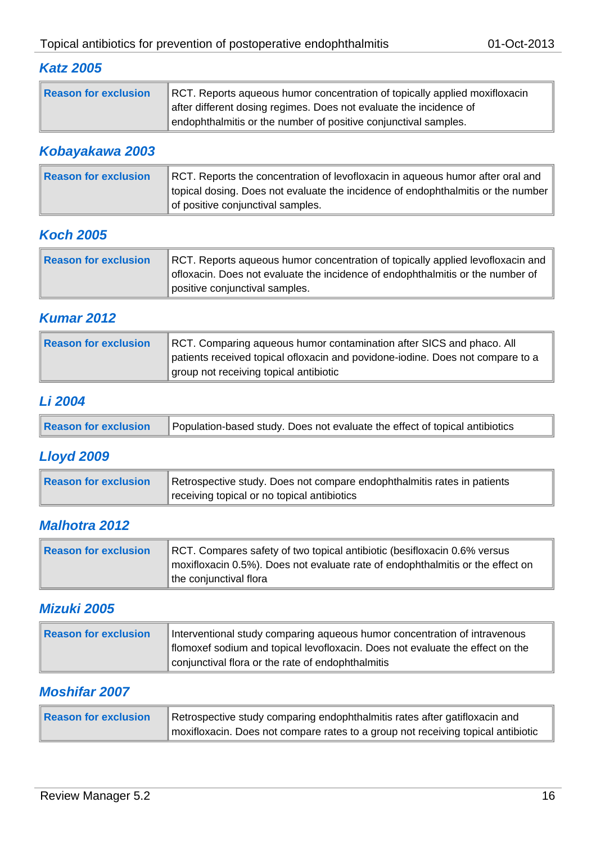# *Katz 2005*

| Reason for exclusion | RCT. Reports aqueous humor concentration of topically applied moxifloxacin<br>after different dosing regimes. Does not evaluate the incidence of |
|----------------------|--------------------------------------------------------------------------------------------------------------------------------------------------|
|                      | endophthalmitis or the number of positive conjunctival samples.                                                                                  |

# *Kobayakawa 2003*

| Reason for exclusion | RCT. Reports the concentration of levofloxacin in aqueous humor after oral and   |
|----------------------|----------------------------------------------------------------------------------|
|                      | topical dosing. Does not evaluate the incidence of endophthalmitis or the number |
|                      | of positive conjunctival samples.                                                |

# *Koch 2005*

| Reason for exclusion | RCT. Reports aqueous humor concentration of topically applied levofloxacin and<br>ofloxacin. Does not evaluate the incidence of endophthalmitis or the number of |
|----------------------|------------------------------------------------------------------------------------------------------------------------------------------------------------------|
|                      | positive conjunctival samples.                                                                                                                                   |

# *Kumar 2012*

| Reason for exclusion<br>RCT. Comparing aqueous humor contamination after SICS and phaco. All<br>patients received topical ofloxacin and povidone-iodine. Does not compare to a<br>group not receiving topical antibiotic |  |
|--------------------------------------------------------------------------------------------------------------------------------------------------------------------------------------------------------------------------|--|
|--------------------------------------------------------------------------------------------------------------------------------------------------------------------------------------------------------------------------|--|

# *Li 2004*

| <b>Reason for exclusion</b><br>Population-based study. Does not evaluate the effect of topical antibiotics |
|------------------------------------------------------------------------------------------------------------|
|------------------------------------------------------------------------------------------------------------|

# *Lloyd 2009*

| Reason for exclusion | Retrospective study. Does not compare endophthalmitis rates in patients |
|----------------------|-------------------------------------------------------------------------|
|                      | receiving topical or no topical antibiotics                             |

## *Malhotra 2012*

| Reason for exclusion | RCT. Compares safety of two topical antibiotic (besifloxacin 0.6% versus       |
|----------------------|--------------------------------------------------------------------------------|
|                      | moxifloxacin 0.5%). Does not evaluate rate of endophthalmitis or the effect on |
|                      | the conjunctival flora                                                         |

## *Mizuki 2005*

| Reason for exclusion | Interventional study comparing aqueous humor concentration of intravenous<br>flomoxef sodium and topical levofloxacin. Does not evaluate the effect on the |
|----------------------|------------------------------------------------------------------------------------------------------------------------------------------------------------|
|                      | conjunctival flora or the rate of endophthalmitis                                                                                                          |

# *Moshifar 2007*

| Reason for exclusion | Retrospective study comparing endophthalmitis rates after gatifloxacin and       |
|----------------------|----------------------------------------------------------------------------------|
|                      | moxifloxacin. Does not compare rates to a group not receiving topical antibiotic |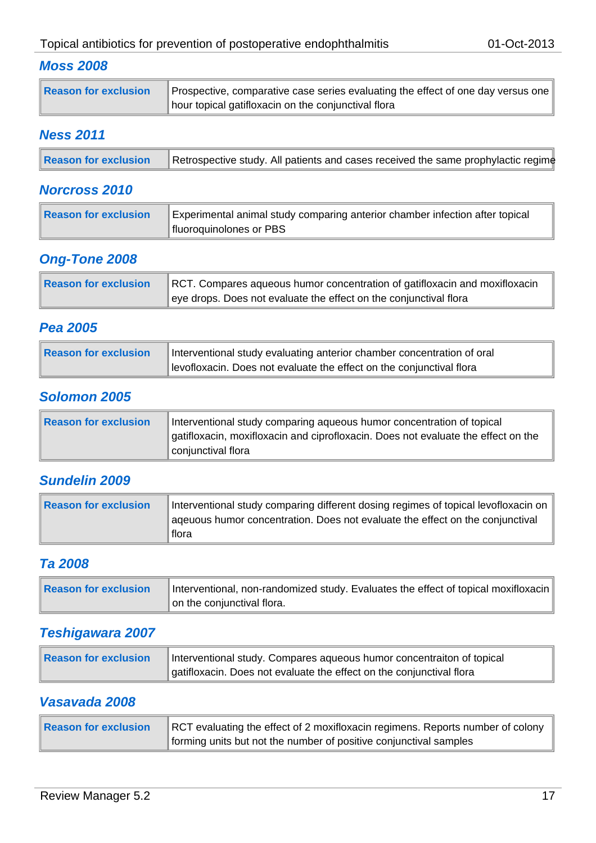## *Moss 2008*

| Reason for exclusion | Prospective, comparative case series evaluating the effect of one day versus one |
|----------------------|----------------------------------------------------------------------------------|
|                      | hour topical gatifloxacin on the conjunctival flora                              |

## *Ness 2011*

| Reason for exclusion | Retrospective study. All patients and cases received the same prophylactic regime |
|----------------------|-----------------------------------------------------------------------------------|
|----------------------|-----------------------------------------------------------------------------------|

#### *Norcross 2010*

| Reason for exclusion | Experimental animal study comparing anterior chamber infection after topical<br>fluoroquinolones or PBS |
|----------------------|---------------------------------------------------------------------------------------------------------|
|                      |                                                                                                         |

## *Ong-Tone 2008*

| Reason for exclusion | RCT. Compares aqueous humor concentration of gatifloxacin and moxifloxacin |
|----------------------|----------------------------------------------------------------------------|
|                      | eye drops. Does not evaluate the effect on the conjunctival flora          |

# *Pea 2005*

| Reason for exclusion | Interventional study evaluating anterior chamber concentration of oral |
|----------------------|------------------------------------------------------------------------|
|                      | levofloxacin. Does not evaluate the effect on the conjunctival flora   |

# *Solomon 2005*

| Reason for exclusion | Interventional study comparing aqueous humor concentration of topical<br>gatifloxacin, moxifloxacin and ciprofloxacin. Does not evaluate the effect on the |
|----------------------|------------------------------------------------------------------------------------------------------------------------------------------------------------|
|                      | conjunctival flora                                                                                                                                         |

## *Sundelin 2009*

| Reason for exclusion | Interventional study comparing different dosing regimes of topical levofloxacin on<br>ageuous humor concentration. Does not evaluate the effect on the conjunctival |
|----------------------|---------------------------------------------------------------------------------------------------------------------------------------------------------------------|
|                      | flora                                                                                                                                                               |

#### *Ta 2008*

| <b>Reason for exclusion</b> | Interventional, non-randomized study. Evaluates the effect of topical moxifloxacin |
|-----------------------------|------------------------------------------------------------------------------------|
|                             | on the conjunctival flora.                                                         |

# *Teshigawara 2007*

| Reason for exclusion | Interventional study. Compares aqueous humor concentraiton of topical |
|----------------------|-----------------------------------------------------------------------|
|                      | gatifloxacin. Does not evaluate the effect on the conjunctival flora  |

## *Vasavada 2008*

| Reason for exclusion | RCT evaluating the effect of 2 moxifloxacin regimens. Reports number of colony |
|----------------------|--------------------------------------------------------------------------------|
|                      | forming units but not the number of positive conjunctival samples              |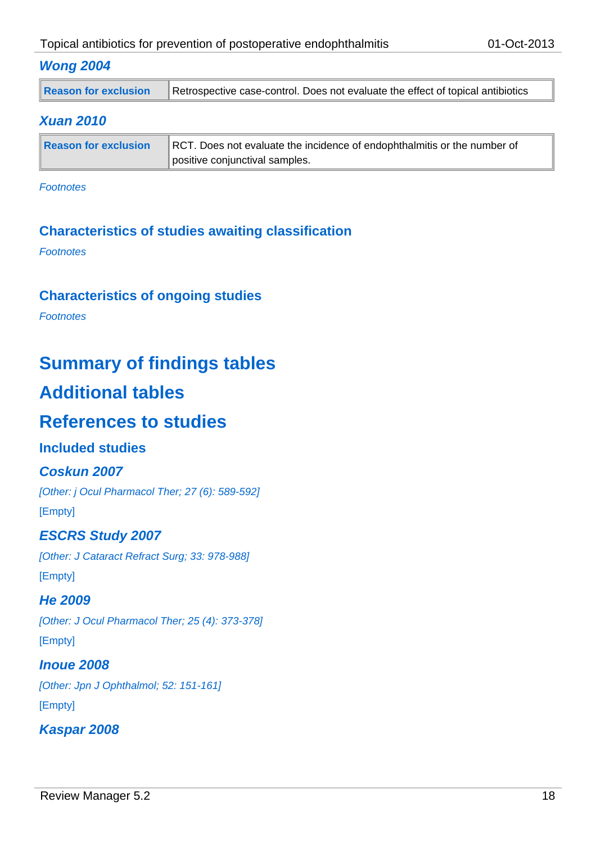#### *Wong 2004*

| <b>Reason for exclusion</b> | Retrospective case-control. Does not evaluate the effect of topical antibiotics |
|-----------------------------|---------------------------------------------------------------------------------|
|-----------------------------|---------------------------------------------------------------------------------|

#### *Xuan 2010*

| Reason for exclusion | RCT. Does not evaluate the incidence of endophthalmitis or the number of |
|----------------------|--------------------------------------------------------------------------|
|                      | positive conjunctival samples.                                           |

*Footnotes*

# **Characteristics of studies awaiting classification**

*Footnotes*

# **Characteristics of ongoing studies**

*Footnotes*

# **Summary of findings tables**

# **Additional tables**

# **References to studies**

## **Included studies**

#### *Coskun 2007*

*[Other: j Ocul Pharmacol Ther; 27 (6): 589-592]* [Empty]

## *ESCRS Study 2007*

*[Other: J Cataract Refract Surg; 33: 978-988]* [Empty]

#### *He 2009*

*[Other: J Ocul Pharmacol Ther; 25 (4): 373-378]* [Empty]

# *Inoue 2008*

*[Other: Jpn J Ophthalmol; 52: 151-161]* [Empty]

## *Kaspar 2008*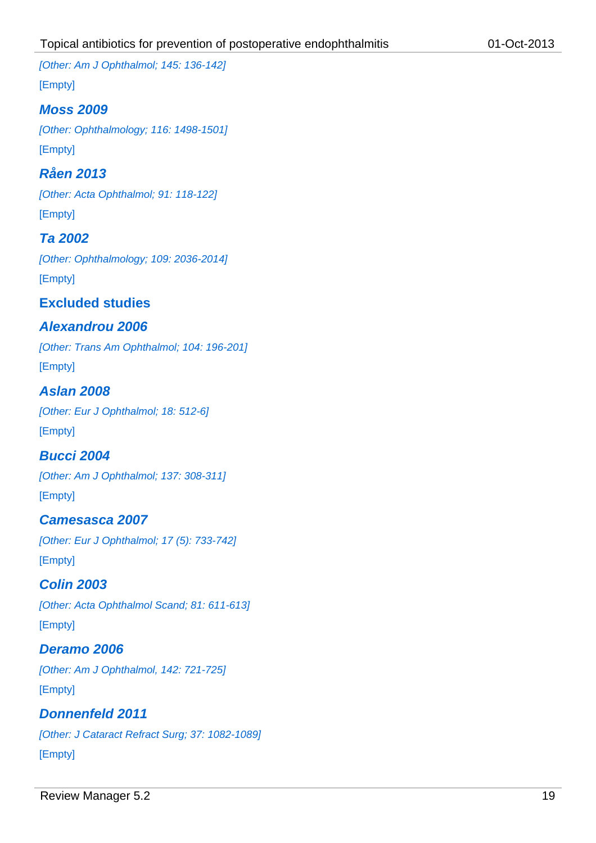*[Other: Am J Ophthalmol; 145: 136-142]*

[Empty]

# *Moss 2009*

*[Other: Ophthalmology; 116: 1498-1501]* [Empty]

*Råen 2013 [Other: Acta Ophthalmol; 91: 118-122]* [Empty]

# *Ta 2002*

*[Other: Ophthalmology; 109: 2036-2014]* [Empty]

**Excluded studies**

# *Alexandrou 2006*

*[Other: Trans Am Ophthalmol; 104: 196-201]* [Empty]

#### *Aslan 2008*

*[Other: Eur J Ophthalmol; 18: 512-6]* [Empty]

## *Bucci 2004*

*[Other: Am J Ophthalmol; 137: 308-311]* [Empty]

# *Camesasca 2007*

*[Other: Eur J Ophthalmol; 17 (5): 733-742]* [Empty]

# *Colin 2003*

*[Other: Acta Ophthalmol Scand; 81: 611-613]* [Empty]

## *Deramo 2006*

*[Other: Am J Ophthalmol, 142: 721-725]* [Empty]

# *Donnenfeld 2011*

*[Other: J Cataract Refract Surg; 37: 1082-1089]* [Empty]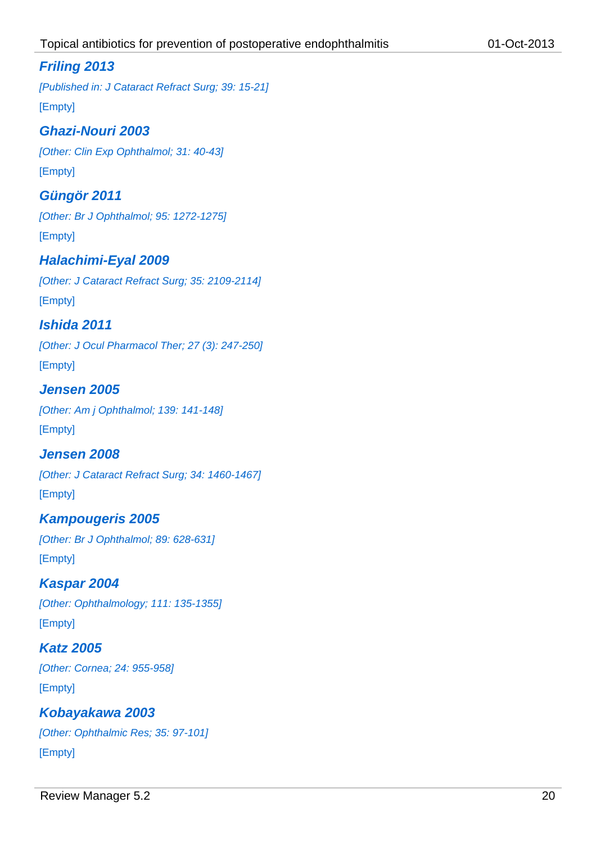# *Friling 2013*

*[Published in: J Cataract Refract Surg; 39: 15-21]* [Empty]

# *Ghazi-Nouri 2003*

*[Other: Clin Exp Ophthalmol; 31: 40-43]* [Empty]

# *Güngör 2011*

*[Other: Br J Ophthalmol; 95: 1272-1275]* [Empty]

# *Halachimi-Eyal 2009*

*[Other: J Cataract Refract Surg; 35: 2109-2114]* [Empty]

# *Ishida 2011*

*[Other: J Ocul Pharmacol Ther; 27 (3): 247-250]* [Empty]

# *Jensen 2005*

*[Other: Am j Ophthalmol; 139: 141-148]* [Empty]

# *Jensen 2008*

*[Other: J Cataract Refract Surg; 34: 1460-1467]* [Empty]

# *Kampougeris 2005 [Other: Br J Ophthalmol; 89: 628-631]*

[Empty]

# *Kaspar 2004*

*[Other: Ophthalmology; 111: 135-1355]* [Empty]

# *Katz 2005*

*[Other: Cornea; 24: 955-958]* [Empty]

# *Kobayakawa 2003 [Other: Ophthalmic Res; 35: 97-101]*

[Empty]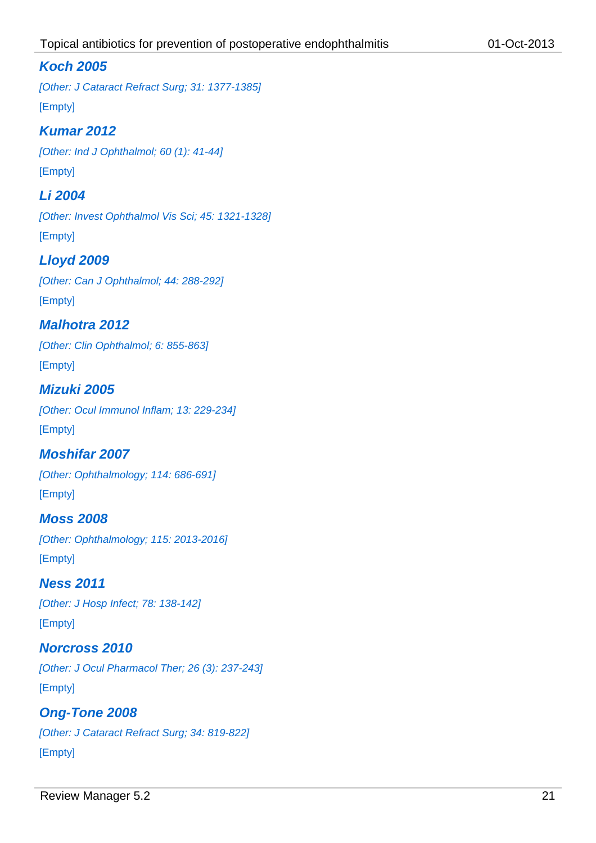## *Koch 2005*

*[Other: J Cataract Refract Surg; 31: 1377-1385]* [Empty]

# *Kumar 2012*

*[Other: Ind J Ophthalmol; 60 (1): 41-44]* [Empty]

# *Li 2004*

*[Other: Invest Ophthalmol Vis Sci; 45: 1321-1328]* [Empty]

# *Lloyd 2009*

*[Other: Can J Ophthalmol; 44: 288-292]* [Empty]

# *Malhotra 2012*

*[Other: Clin Ophthalmol; 6: 855-863]* [Empty]

## *Mizuki 2005*

*[Other: Ocul Immunol Inflam; 13: 229-234]* [Empty]

## *Moshifar 2007*

*[Other: Ophthalmology; 114: 686-691]* [Empty]

# *Moss 2008 [Other: Ophthalmology; 115: 2013-2016]* [Empty]

*Ness 2011 [Other: J Hosp Infect; 78: 138-142]* [Empty]

## *Norcross 2010*

*[Other: J Ocul Pharmacol Ther; 26 (3): 237-243]* [Empty]

# *Ong-Tone 2008 [Other: J Cataract Refract Surg; 34: 819-822]* [Empty]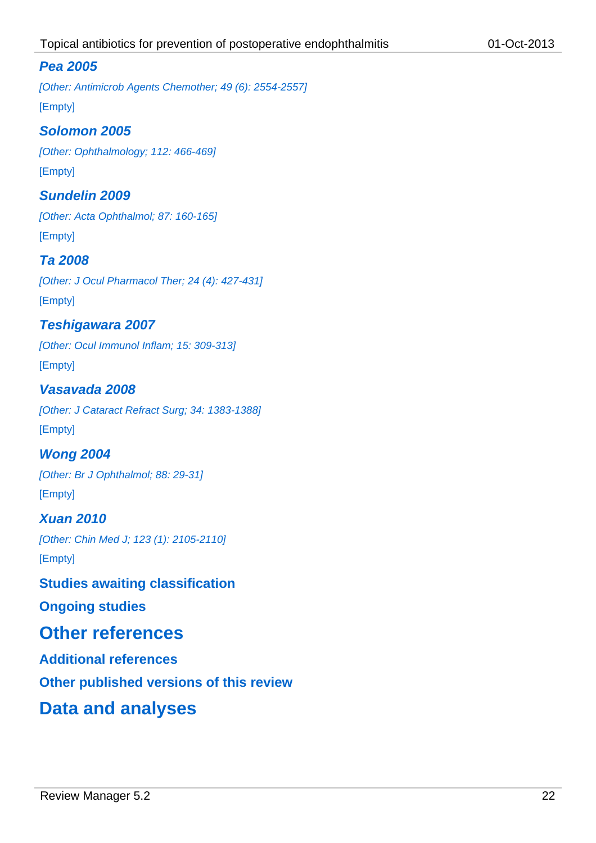## *Pea 2005*

*[Other: Antimicrob Agents Chemother; 49 (6): 2554-2557]* [Empty]

#### *Solomon 2005*

*[Other: Ophthalmology; 112: 466-469]* [Empty]

#### *Sundelin 2009*

*[Other: Acta Ophthalmol; 87: 160-165]* [Empty]

#### *Ta 2008*

*[Other: J Ocul Pharmacol Ther; 24 (4): 427-431]* [Empty]

### *Teshigawara 2007*

*[Other: Ocul Immunol Inflam; 15: 309-313]* [Empty]

#### *Vasavada 2008*

*[Other: J Cataract Refract Surg; 34: 1383-1388]* [Empty]

*Wong 2004 [Other: Br J Ophthalmol; 88: 29-31]* [Empty]

# *Xuan 2010 [Other: Chin Med J; 123 (1): 2105-2110]* [Empty]

#### **Studies awaiting classification**

**Ongoing studies**

# **Other references**

**Additional references**

**Other published versions of this review**

# **Data and analyses**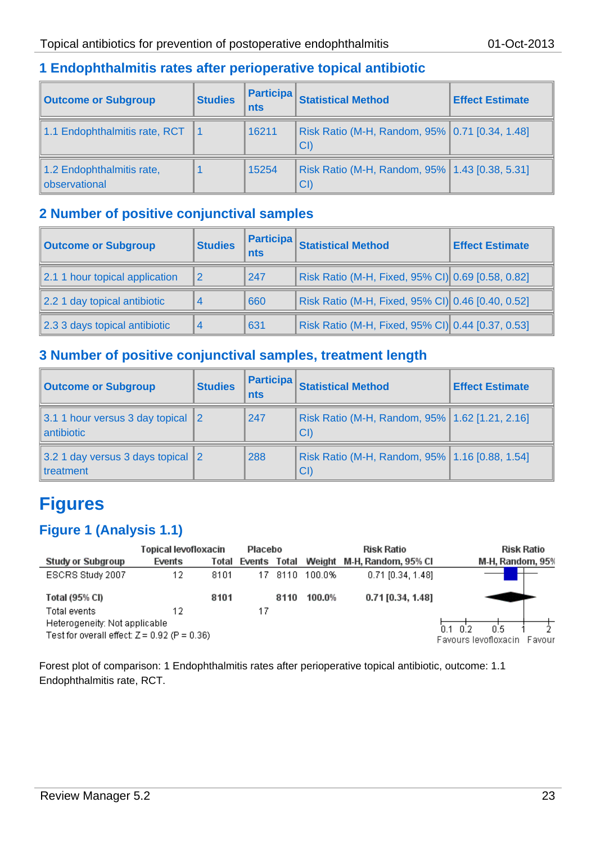# **1 Endophthalmitis rates after perioperative topical antibiotic**

| <b>Outcome or Subgroup</b>                 | <b>Studies</b> | <b>Participa</b><br><b>nts</b> | <b>Statistical Method</b>                              | <b>Effect Estimate</b> |
|--------------------------------------------|----------------|--------------------------------|--------------------------------------------------------|------------------------|
| 1.1 Endophthalmitis rate, RCT              |                | 16211                          | Risk Ratio (M-H, Random, 95%   0.71 [0.34, 1.48]<br>CI |                        |
| 1.2 Endophthalmitis rate,<br>observational |                | 15254                          | Risk Ratio (M-H, Random, 95%   1.43 [0.38, 5.31]<br>CI |                        |

## **2 Number of positive conjunctival samples**

| <b>Outcome or Subgroup</b>     | <b>Studies</b> | <b>Participa</b><br><b>nts</b> | <b>Statistical Method</b>                         | <b>Effect Estimate</b> |
|--------------------------------|----------------|--------------------------------|---------------------------------------------------|------------------------|
| 2.1 1 hour topical application | 2              | 247                            | Risk Ratio (M-H, Fixed, 95% CI) 0.69 [0.58, 0.82] |                        |
| 2.2 1 day topical antibiotic   | 4              | 660                            | Risk Ratio (M-H, Fixed, 95% CI) 0.46 [0.40, 0.52] |                        |
| 2.3 3 days topical antibiotic  | $\overline{4}$ | 631                            | Risk Ratio (M-H, Fixed, 95% CI) 0.44 [0.37, 0.53] |                        |

# **3 Number of positive conjunctival samples, treatment length**

| <b>Outcome or Subgroup</b>                              | <b>Studies</b> | <b>Participa</b><br>nts | <b>Statistical Method</b>                              | <b>Effect Estimate</b> |
|---------------------------------------------------------|----------------|-------------------------|--------------------------------------------------------|------------------------|
| 3.1 1 hour versus 3 day topical 2<br>antibiotic         |                | 247                     | Risk Ratio (M-H, Random, 95%   1.62 [1.21, 2.16]<br>CI |                        |
| 3.2 1 day versus 3 days topical 2<br><b>I</b> treatment |                | 288                     | Risk Ratio (M-H, Random, 95%   1.16 [0.88, 1.54]<br>CI |                        |

# **Figures**

# **Figure 1 (Analysis 1.1)**

|                                                | Topical levofloxacin |       | Placebo |       |        | <b>Risk Ratio</b>          | Risk Ratio                     |
|------------------------------------------------|----------------------|-------|---------|-------|--------|----------------------------|--------------------------------|
| <b>Study or Subgroup</b>                       | Events               | Total | Events  | Total |        | Weight M-H, Random, 95% CI | M-H, Random, 95%               |
| ESCRS Study 2007                               | 12                   | 8101  | 17      | 8110  | 100.0% | $0.71$ [0.34, 1.48]        |                                |
| <b>Total (95% CI)</b>                          |                      | 8101  |         | 8110  | 100.0% | $0.71$ [0.34, 1.48]        |                                |
| Total events                                   | 12                   |       | 17      |       |        |                            |                                |
| Heterogeneity: Not applicable                  |                      |       |         |       |        |                            | 0.5<br>ብ 2<br>n 1              |
| Test for overall effect: $Z = 0.92$ (P = 0.36) |                      |       |         |       |        |                            | Favours levofloxacin<br>Favour |

Forest plot of comparison: 1 Endophthalmitis rates after perioperative topical antibiotic, outcome: 1.1 Endophthalmitis rate, RCT.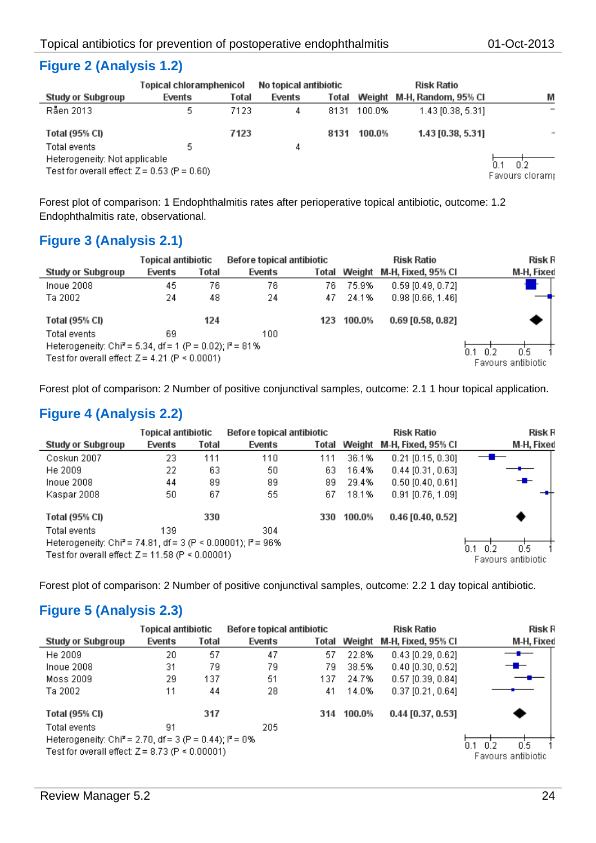# **Figure 2 (Analysis 1.2)**

|                                                                                 | Topical chloramphenicol |       | No topical antibiotic |       |        | <b>Risk Ratio</b>          |                        |
|---------------------------------------------------------------------------------|-------------------------|-------|-----------------------|-------|--------|----------------------------|------------------------|
| Study or Subgroup                                                               | Events                  | Total | Events                | Total |        | Weight M-H, Random, 95% CI | M                      |
| Råen 2013                                                                       | 5.                      | 7123  | 4                     | 8131  | 100.0% | 1.43 [0.38, 5.31]          |                        |
| Total (95% CI)                                                                  |                         | 7123  |                       | 8131  | 100.0% | 1.43 [0.38, 5.31]          | <b>START</b>           |
| Total events                                                                    | 5.                      |       | 4                     |       |        |                            |                        |
| Heterogeneity: Not applicable<br>Test for overall effect: $Z = 0.53$ (P = 0.60) |                         |       |                       |       |        |                            | 0.2<br>Favours cloram; |

Forest plot of comparison: 1 Endophthalmitis rates after perioperative topical antibiotic, outcome: 1.2 Endophthalmitis rate, observational.

# **Figure 3 (Analysis 2.1)**

|                                                                                                                                 | Topical antibiotic |       | <b>Before topical antibiotic</b> |       |        | <b>Risk Ratio</b>   | <b>Risk R</b>              |
|---------------------------------------------------------------------------------------------------------------------------------|--------------------|-------|----------------------------------|-------|--------|---------------------|----------------------------|
| Study or Subgroup                                                                                                               | Events             | Total | Events                           | Total | Weight | M-H, Fixed, 95% Cl  | M-H, Fixed                 |
| Inoue 2008                                                                                                                      | 45                 | 76    | 76                               | 76    | 75.9%  | $0.59$ [0.49, 0.72] |                            |
| Ta 2002                                                                                                                         | 24                 | 48    | 24                               | 47    | 24.1%  | $0.98$ [0.66, 1.46] |                            |
| Total (95% CI)                                                                                                                  |                    | 124   |                                  | 123   | 100.0% | $0.69$ [0.58, 0.82] |                            |
| Total events                                                                                                                    | 69                 |       | 100                              |       |        |                     |                            |
| Heterogeneity: Chi <sup>2</sup> = 5.34, df = 1 (P = 0.02); $P = 81\%$<br>Test for overall effect: $Z = 4.21$ (P $\leq 0.0001$ ) |                    |       |                                  |       |        |                     | 0.5.<br>Favours antibiotic |

Forest plot of comparison: 2 Number of positive conjunctival samples, outcome: 2.1 1 hour topical application.

# **Figure 4 (Analysis 2.2)**

|                                                                                     | Topical antibiotic |       | Before topical antibiotic |       |                    | <b>Risk Ratio</b>   | <b>Risk R</b> |
|-------------------------------------------------------------------------------------|--------------------|-------|---------------------------|-------|--------------------|---------------------|---------------|
| <b>Study or Subgroup</b>                                                            | Events             | Total | Events                    | Total | Weight             | M-H, Fixed, 95% CI  | M-H, Fixed    |
| Coskun 2007                                                                         | 23                 | 111   | 110                       | 111   | 36.1%              | $0.21$ [0.15, 0.30] |               |
| He 2009                                                                             | 22                 | 63    | 50                        | 63    | 16.4%              | $0.44$ [0.31, 0.63] |               |
| Inoue 2008                                                                          | 44                 | 89    | 89                        | 89    | 29.4%              | $0.50$ [0.40, 0.61] | ╼▆╾           |
| Kaspar 2008                                                                         | 50                 | 67    | 55                        | 67    | 18.1%              | $0.91$ [0.76, 1.09] |               |
| Total (95% CI)                                                                      |                    | 330   |                           | 330   | 100.0%             | $0.46$ [0.40, 0.52] |               |
| Total events                                                                        | 139                |       | 304                       |       |                    |                     |               |
| Heterogeneity: Chi <sup>2</sup> = 74.81, df = 3 (P < 0.00001); l <sup>2</sup> = 96% |                    |       |                           |       |                    |                     | 0.5<br>በጋ     |
| Test for overall effect: $Z = 11.58$ (P < 0.00001)                                  |                    |       |                           |       | Favours antibiotic |                     |               |
|                                                                                     |                    |       |                           |       |                    |                     |               |

Forest plot of comparison: 2 Number of positive conjunctival samples, outcome: 2.2 1 day topical antibiotic.

# **Figure 5 (Analysis 2.3)**

|                                                                      | Topical antibiotic |       | <b>Before topical antibiotic</b> |       |            | <b>Risk Ratio</b>   | Risk R             |
|----------------------------------------------------------------------|--------------------|-------|----------------------------------|-------|------------|---------------------|--------------------|
| <b>Study or Subgroup</b>                                             | Events             | Total | Events                           | Total | Weight     | M-H, Fixed, 95% CI  | M-H, Fixed         |
| He 2009                                                              | 20                 | 57    | 47                               | 57    | 22.8%      | $0.43$ [0.29, 0.62] |                    |
| Inoue 2008                                                           | 31                 | 79    | 79                               | 79    | 38.5%      | $0.40$ [0.30, 0.52] | --                 |
| Moss 2009                                                            | 29                 | 137   | 51                               | 137   | 24.7%      | $0.57$ [0.39, 0.84] |                    |
| Ta 2002                                                              | 11                 | 44    | 28                               | 41    | 14.0%      | $0.37$ [0.21, 0.64] |                    |
| Total (95% CI)                                                       |                    | 317   |                                  |       | 314 100.0% | $0.44$ [0.37, 0.53] |                    |
| Total events                                                         | 91                 |       | 205                              |       |            |                     |                    |
| Heterogeneity: Chi <sup>2</sup> = 2.70, df = 3 (P = 0.44); $P = 0\%$ |                    |       |                                  |       |            |                     | 0.5<br>በ 2         |
| Test for overall effect: $Z = 8.73$ (P $\leq 0.00001$ )              |                    |       |                                  |       |            |                     | Favours antibiotic |